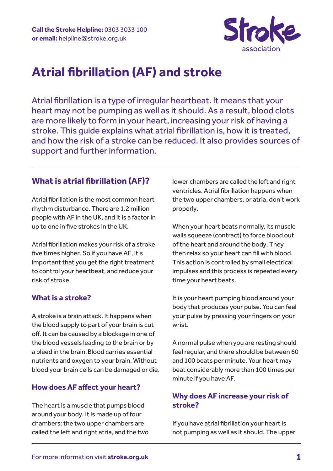

# **Atrial fibrillation (AF) and stroke**

Atrial fibrillation is a type of irregular heartbeat. It means that your heart may not be pumping as well as it should. As a result, blood clots are more likely to form in your heart, increasing your risk of having a stroke. This guide explains what atrial fibrillation is, how it is treated, and how the risk of a stroke can be reduced. It also provides sources of support and further information.

# **What is atrial fibrillation (AF)?**

Atrial fibrillation is the most common heart rhythm disturbance. There are 1.2 million people with AF in the UK, and it is a factor in up to one in five strokes in the UK.

Atrial fibrillation makes your risk of a stroke five times higher. So if you have AF, it's important that you get the right treatment to control your heartbeat, and reduce your risk of stroke.

# **What is a stroke?**

A stroke is a brain attack. It happens when the blood supply to part of your brain is cut off. It can be caused by a blockage in one of the blood vessels leading to the brain or by a bleed in the brain.Blood carries essential nutrients and oxygen to your brain. Without blood your brain cells can be damaged or die.

# **How does AF affect your heart?**

The heart is a muscle that pumps blood around your body. It is made up of four chambers: the two upper chambers are called the left and right atria, and the two lower chambers are called the left and right ventricles. Atrial fibrillation happens when the two upper chambers, or atria, don't work properly.

When your heart beats normally, its muscle walls squeeze (contract) to force blood out of the heart and around the body. They then relax so your heart can fill with blood. This action is controlled by small electrical impulses and this process is repeated every time your heart beats.

It is your heart pumping blood around your body that produces your pulse. You can feel your pulse by pressing your fingers on your wrist.

A normal pulse when you are resting should feel regular, and there should be between 60 and 100 beats per minute. Your heart may beat considerably more than 100 times per minute if you have AF.

# **Why does AF increase your risk of stroke?**

If you have atrial fibrillation your heart is not pumping as well as it should. The upper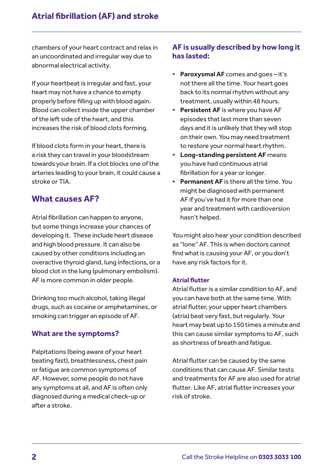chambers of your heart contract and relax in an uncoordinated and irregular way due to abnormal electrical activity.

If your heartbeat is irregular and fast, your heart may not have a chance to empty properly before filling up with blood again. Blood can collect inside the upper chamber of the left side of the heart, and this increases the risk of blood clots forming.

If blood clots form in your heart, there is a risk they can travel in your bloodstream towards your brain. If a clot blocks one of the arteries leading to your brain, it could cause a stroke or TIA.

# **What causes AF?**

Atrial fibrillation can happen to anyone, but some things increase your chances of developing it. These include heart disease and high blood pressure. It can also be caused by other conditions including an overactive thyroid gland, lung infections, or a blood clot in the lung (pulmonary embolism). AF is more common in older people.

Drinking too much alcohol, taking illegal drugs, such as cocaine or amphetamines, or smoking can trigger an episode of AF.

# **What are the symptoms?**

Palpitations (being aware of your heart beating fast), breathlessness, chest pain or fatigue are common symptoms of AF. However, some people do not have any symptoms at all, and AF is often only diagnosed during a medical check-up or after a stroke.

# **AF is usually described by how long it has lasted:**

- **• Paroxysmal AF** comes and goes it's not there all the time. Your heart goes back to its normal rhythm without any treatment, usually within 48 hours.
- **• Persistent AF** is where you have AF episodes that last more than seven days and it is unlikely that they will stop on their own. You may need treatment to restore your normal heart rhythm.
- **• Long-standing persistent AF** means you have had continuous atrial fibrillation for a year or longer.
- **• Permanent AF** is there all the time. You might be diagnosed with permanent AF if you've had it for more than one year and treatment with cardioversion hasn't helped.

You might also hear your condition described as "lone" AF. This is when doctors cannot find what is causing your AF, or you don't have any risk factors for it.

#### **Atrial flutter**

Atrial flutter is a similar condition to AF, and you can have both at the same time. With atrial flutter, your upper heart chambers (atria) beat very fast, but regularly. Your heart may beat up to 150 times a minute and this can cause similar symptoms to AF, such as shortness of breath and fatigue.

Atrial flutter can be caused by the same conditions that can cause AF. Similar tests and treatments for AF are also used for atrial flutter. Like AF, atrial flutter increases your risk of stroke.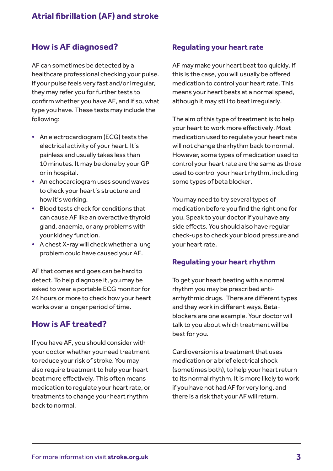# **How is AF diagnosed?**

AF can sometimes be detected by a healthcare professional checking your pulse. If your pulse feels very fast and/or irregular, they may refer you for further tests to confirm whether you have AF, and if so, what type you have. These tests may include the following:

- **•** An electrocardiogram (ECG) tests the electrical activity of your heart. It's painless and usually takes less than 10 minutes. It may be done by your GP or in hospital.
- **•** An echocardiogram uses sound waves to check your heart's structure and how it's working.
- **•** Blood tests check for conditions that can cause AF like an overactive thyroid gland, anaemia, or any problems with your kidney function.
- **•** A chest X-ray will check whether a lung problem could have caused your AF.

AF that comes and goes can be hard to detect. To help diagnose it, you may be asked to wear a portable ECG monitor for 24 hours or more to check how your heart works over a longer period of time.

# **How is AF treated?**

If you have AF, you should consider with your doctor whether you need treatment to reduce your risk of stroke. You may also require treatment to help your heart beat more effectively. This often means medication to regulate your heart rate, or treatments to change your heart rhythm back to normal.

#### **Regulating your heart rate**

AF may make your heart beat too quickly. If this is the case, you will usually be offered medication to control your heart rate. This means your heart beats at a normal speed, although it may still to beat irregularly.

The aim of this type of treatment is to help your heart to work more effectively. Most medication used to regulate your heart rate will not change the rhythm back to normal. However, some types of medication used to control your heart rate are the same as those used to control your heart rhythm, including some types of beta blocker.

You may need to try several types of medication before you find the right one for you. Speak to your doctor if you have any side effects. You should also have regular check-ups to check your blood pressure and your heart rate.

# **Regulating your heart rhythm**

To get your heart beating with a normal rhythm you may be prescribed antiarrhythmic drugs. There are different types and they work in different ways. Betablockers are one example. Your doctor will talk to you about which treatment will be best for you.

Cardioversion is a treatment that uses medication or a brief electrical shock (sometimes both), to help your heart return to its normal rhythm. It is more likely to work if you have not had AF for very long, and there is a risk that your AF will return.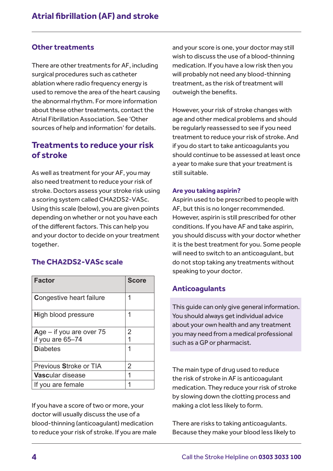#### **Other treatments**

There are other treatments for AF, including surgical procedures such as catheter ablation where radio frequency energy is used to remove the area of the heart causing the abnormal rhythm. For more information about these other treatments, contact the Atrial Fibrillation Association. See 'Other sources of help and information' for details.

# **Treatments to reduce your risk of stroke**

As well as treatment for your AF, you may also need treatment to reduce your risk of stroke. Doctors assess your stroke risk using a scoring system called CHA2DS2-VASc. Using this scale (below), you are given points depending on whether or not you have each of the different factors. This can help you and your doctor to decide on your treatment together.

# **The CHA2DS2-VASc scale**

| <b>Factor</b>                   | <b>Score</b> |
|---------------------------------|--------------|
| <b>Congestive heart failure</b> | 1            |
| <b>High blood pressure</b>      | 1            |
| Age $-$ if you are over 75      | 2            |
| if you are 65-74                |              |
| <b>Diabetes</b>                 | 1            |
| Previous Stroke or TIA          | 2            |
| <b>Vascular disease</b>         | 1            |
| If you are female               |              |

If you have a score of two or more, your doctor will usually discuss the use of a blood-thinning (anticoagulant) medication to reduce your risk of stroke. If you are male and your score is one, your doctor may still wish to discuss the use of a blood-thinning medication. If you have a low risk then you will probably not need any blood-thinning treatment, as the risk of treatment will outweigh the benefits.

However, your risk of stroke changes with age and other medical problems and should be regularly reassessed to see if you need treatment to reduce your risk of stroke. And if you do start to take anticoagulants you should continue to be assessed at least once a year to make sure that your treatment is still suitable.

#### **Are you taking aspirin?**

Aspirin used to be prescribed to people with AF, but this is no longer recommended. However, aspirin is still prescribed for other conditions. If you have AF and take aspirin, you should discuss with your doctor whether it is the best treatment for you. Some people will need to switch to an anticoagulant, but do not stop taking any treatments without speaking to your doctor.

# **Anticoagulants**

This guide can only give general information. You should always get individual advice about your own health and any treatment you may need from a medical professional such as a GP or pharmacist.

The main type of drug used to reduce the risk of stroke in AF is anticoagulant medication. They reduce your risk of stroke by slowing down the clotting process and making a clot less likely to form.

There are risks to taking anticoagulants. Because they make your blood less likely to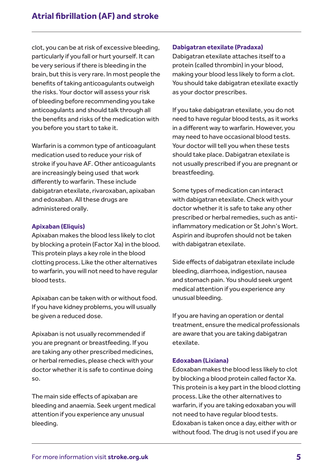clot, you can be at risk of excessive bleeding, particularly if you fall or hurt yourself. It can be very serious if there is bleeding in the brain, but this is very rare. In most people the benefits of taking anticoagulants outweigh the risks. Your doctor will assess your risk of bleeding before recommending you take anticoagulants and should talk through all the benefits and risks of the medication with you before you start to take it.

Warfarin is a common type of anticoagulant medication used to reduce your risk of stroke if you have AF. Other anticoagulants are increasingly being used that work differently to warfarin. These include dabigatran etexilate, rivaroxaban, apixaban and edoxaban. All these drugs are administered orally.

#### **Apixaban (Eliquis)**

Apixaban makes the blood less likely to clot by blocking a protein (Factor Xa) in the blood. This protein plays a key role in the blood clotting process. Like the other alternatives to warfarin, you will not need to have regular blood tests.

Apixaban can be taken with or without food. If you have kidney problems, you will usually be given a reduced dose.

Apixaban is not usually recommended if you are pregnant or breastfeeding. If you are taking any other prescribed medicines, or herbal remedies, please check with your doctor whether it is safe to continue doing so.

The main side effects of apixaban are bleeding and anaemia. Seek urgent medical attention if you experience any unusual bleeding.

#### **Dabigatran etexilate (Pradaxa)**

Dabigatran etexilate attaches itself to a protein (called thrombin) in your blood, making your blood less likely to form a clot. You should take dabigatran etexilate exactly as your doctor prescribes.

If you take dabigatran etexilate, you do not need to have regular blood tests, as it works in a different way to warfarin. However, you may need to have occasional blood tests. Your doctor will tell you when these tests should take place. Dabigatran etexilate is not usually prescribed if you are pregnant or breastfeeding.

Some types of medication can interact with dabigatran etexilate. Check with your doctor whether it is safe to take any other prescribed or herbal remedies, such as antiinflammatory medication or St John's Wort. Aspirin and ibuprofen should not be taken with dabigatran etexilate.

Side effects of dabigatran etexilate include bleeding, diarrhoea, indigestion, nausea and stomach pain. You should seek urgent medical attention if you experience any unusual bleeding.

If you are having an operation or dental treatment, ensure the medical professionals are aware that you are taking dabigatran etexilate.

#### **Edoxaban (Lixiana)**

Edoxaban makes the blood less likely to clot by blocking a blood protein called factor Xa. This protein is a key part in the blood clotting process. Like the other alternatives to warfarin, if you are taking edoxaban you will not need to have regular blood tests. Edoxaban is taken once a day, either with or without food. The drug is not used if you are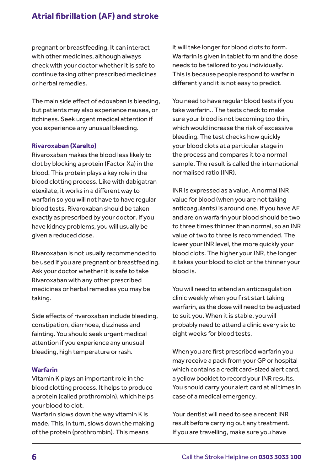pregnant or breastfeeding. It can interact with other medicines, although always check with your doctor whether it is safe to continue taking other prescribed medicines or herbal remedies.

The main side effect of edoxaban is bleeding, but patients may also experience nausea, or itchiness. Seek urgent medical attention if you experience any unusual bleeding.

#### **Rivaroxaban (Xarelto)**

Rivaroxaban makes the blood less likely to clot by blocking a protein (Factor Xa) in the blood. This protein plays a key role in the blood clotting process. Like with dabigatran etexilate, it works in a different way to warfarin so you will not have to have regular blood tests. Rivaroxaban should be taken exactly as prescribed by your doctor. If you have kidney problems, you will usually be given a reduced dose.

Rivaroxaban is not usually recommended to be used if you are pregnant or breastfeeding. Ask your doctor whether it is safe to take Rivaroxaban with any other prescribed medicines or herbal remedies you may be taking.

Side effects of rivaroxaban include bleeding, constipation, diarrhoea, dizziness and fainting. You should seek urgent medical attention if you experience any unusual bleeding, high temperature or rash.

#### **Warfarin**

Vitamin K plays an important role in the blood clotting process. It helps to produce a protein (called prothrombin), which helps your blood to clot.

Warfarin slows down the way vitamin K is made. This, in turn, slows down the making of the protein (prothrombin). This means

it will take longer for blood clots to form. Warfarin is given in tablet form and the dose needs to be tailored to you individually. This is because people respond to warfarin differently and it is not easy to predict.

You need to have regular blood tests if you take warfarin.. The tests check to make sure your blood is not becoming too thin, which would increase the risk of excessive bleeding. The test checks how quickly your blood clots at a particular stage in the process and compares it to a normal sample. The result is called the international normalised ratio (INR).

INR is expressed as a value. A normal INR value for blood (when you are not taking anticoagulants) is around one. If you have AF and are on warfarin your blood should be two to three times thinner than normal, so an INR value of two to three is recommended. The lower your INR level, the more quickly your blood clots. The higher your INR, the longer it takes your blood to clot or the thinner your blood is.

You will need to attend an anticoagulation clinic weekly when you first start taking warfarin, as the dose will need to be adjusted to suit you. When it is stable, you will probably need to attend a clinic every six to eight weeks for blood tests.

When you are first prescribed warfarin you may receive a pack from your GP or hospital which contains a credit card-sized alert card, a yellow booklet to record your INR results. You should carry your alert card at all times in case of a medical emergency.

Your dentist will need to see a recent INR result before carrying out any treatment. If you are travelling, make sure you have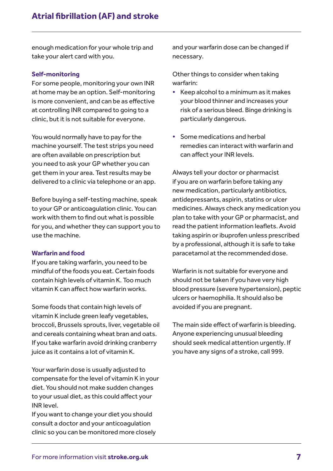enough medication for your whole trip and take your alert card with you.

#### **Self-monitoring**

For some people, monitoring your own INR at home may be an option. Self-monitoring is more convenient, and can be as effective at controlling INR compared to going to a clinic, but it is not suitable for everyone.

You would normally have to pay for the machine yourself. The test strips you need are often available on prescription but you need to ask your GP whether you can get them in your area. Test results may be delivered to a clinic via telephone or an app.

Before buying a self-testing machine, speak to your GP or anticoagulation clinic. You can work with them to find out what is possible for you, and whether they can support you to use the machine.

#### **Warfarin and food**

If you are taking warfarin, you need to be mindful of the foods you eat. Certain foods contain high levels of vitamin K. Too much vitamin K can affect how warfarin works.

Some foods that contain high levels of vitamin K include green leafy vegetables, broccoli, Brussels sprouts, liver, vegetable oil and cereals containing wheat bran and oats. If you take warfarin avoid drinking cranberry juice as it contains a lot of vitamin K.

Your warfarin dose is usually adjusted to compensate for the level of vitamin K in your diet. You should not make sudden changes to your usual diet, as this could affect your INR level.

If you want to change your diet you should consult a doctor and your anticoagulation clinic so you can be monitored more closely and your warfarin dose can be changed if necessary.

Other things to consider when taking warfarin:

- **•** Keep alcohol to a minimum as it makes your blood thinner and increases your risk of a serious bleed. Binge drinking is particularly dangerous.
- **•** Some medications and herbal remedies can interact with warfarin and can affect your INR levels.

Always tell your doctor or pharmacist if you are on warfarin before taking any new medication, particularly antibiotics, antidepressants, aspirin, statins or ulcer medicines. Always check any medication you plan to take with your GP or pharmacist, and read the patient information leaflets. Avoid taking aspirin or ibuprofen unless prescribed by a professional, although it is safe to take paracetamol at the recommended dose.

Warfarin is not suitable for everyone and should not be taken if you have very high blood pressure (severe hypertension), peptic ulcers or haemophilia. It should also be avoided if you are pregnant.

The main side effect of warfarin is bleeding. Anyone experiencing unusual bleeding should seek medical attention urgently. If you have any signs of a stroke, call 999.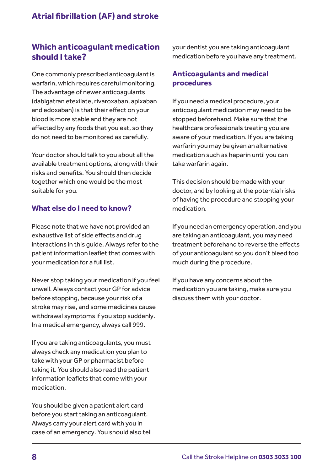# **Which anticoagulant medication should I take?**

One commonly prescribed anticoagulant is warfarin, which requires careful monitoring. The advantage of newer anticoagulants (dabigatran etexilate, rivaroxaban, apixaban and edoxaban) is that their effect on your blood is more stable and they are not affected by any foods that you eat, so they do not need to be monitored as carefully.

Your doctor should talk to you about all the available treatment options, along with their risks and benefits. You should then decide together which one would be the most suitable for you.

# **What else do I need to know?**

Please note that we have not provided an exhaustive list of side effects and drug interactions in this guide. Always refer to the patient information leaflet that comes with your medication for a full list.

Never stop taking your medication if you feel unwell. Always contact your GP for advice before stopping, because your risk of a stroke may rise, and some medicines cause withdrawal symptoms if you stop suddenly. In a medical emergency, always call 999.

If you are taking anticoagulants, you must always check any medication you plan to take with your GP or pharmacist before taking it. You should also read the patient information leaflets that come with your medication.

You should be given a patient alert card before you start taking an anticoagulant. Always carry your alert card with you in case of an emergency. You should also tell your dentist you are taking anticoagulant medication before you have any treatment.

# **Anticoagulants and medical procedures**

If you need a medical procedure, your anticoagulant medication may need to be stopped beforehand. Make sure that the healthcare professionals treating you are aware of your medication. If you are taking warfarin you may be given an alternative medication such as heparin until you can take warfarin again.

This decision should be made with your doctor, and by looking at the potential risks of having the procedure and stopping your medication.

If you need an emergency operation, and you are taking an anticoagulant, you may need treatment beforehand to reverse the effects of your anticoagulant so you don't bleed too much during the procedure.

If you have any concerns about the medication you are taking, make sure you discuss them with your doctor.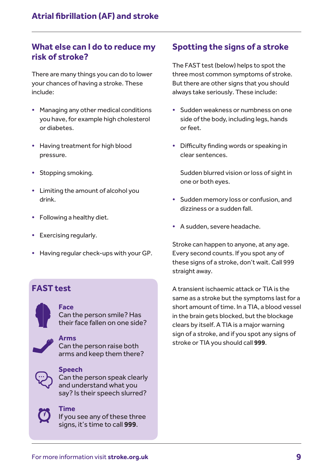# **What else can I do to reduce my risk of stroke?**

There are many things you can do to lower your chances of having a stroke. These include:

- **•** Managing any other medical conditions you have, for example high cholesterol or diabetes.
- **•** Having treatment for high blood pressure.
- **•** Stopping smoking.
- **•** Limiting the amount of alcohol you drink.
- **•** Following a healthy diet.
- **•** Exercising regularly.
- **•** Having regular check-ups with your GP.

# **FAST test**



#### **Face**

Can the person smile? Has their face fallen on one side?

**Arms**  Can the person raise both arms and keep them there?



#### **Speech**

Can the person speak clearly and understand what you say? Is their speech slurred?

# **Time**

If you see any of these three signs, it's time to call **999**.

# **Spotting the signs of a stroke**

The FAST test (below) helps to spot the three most common symptoms of stroke. But there are other signs that you should always take seriously. These include:

- **•** Sudden weakness or numbness on one side of the body, including legs, hands or feet.
- **•** Difficulty finding words or speaking in clear sentences.

Sudden blurred vision or loss of sight in one or both eyes.

- **•** Sudden memory loss or confusion, and dizziness or a sudden fall.
- **•** A sudden, severe headache.

Stroke can happen to anyone, at any age. Every second counts. If you spot any of these signs of a stroke, don't wait. Call 999 straight away.

A transient ischaemic attack or TIA is the same as a stroke but the symptoms last for a short amount of time. In a TIA, a blood vessel in the brain gets blocked, but the blockage clears by itself. A TIA is a major warning sign of a stroke, and if you spot any signs of stroke or TIA you should call **999**.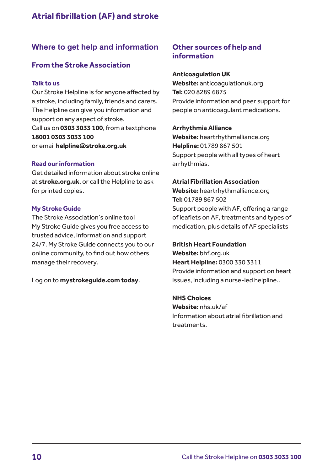# **Where to get help and information**

# **From the Stroke Association**

#### **Talk to us**

Our Stroke Helpline is for anyone affected by a stroke, including family, friends and carers. The Helpline can give you information and support on any aspect of stroke. Call us on **0303 3033 100**, from a textphone **18001 0303 3033 100** or email **[helpline@stroke.org.uk](mailto:helpline@stroke.org.uk)**

#### **Read our information**

Get detailed information about stroke online at **stroke.org.uk**, or call the Helpline to ask for printed copies.

#### **My Stroke Guide**

The Stroke Association's online tool My Stroke Guide gives you free access to trusted advice, information and support 24/7. My Stroke Guide connects you to our online community, to find out how others manage their recovery.

Log on to **mystrokeguide.com today**.

# **Other sources of help and information**

#### **Anticoagulation UK**

**Website:** anticoagulationuk.org **Tel:** 020 8289 6875 Provide information and peer support for people on anticoagulant medications.

#### **Arrhythmia Alliance**

**Website:** heartrhythmalliance.org **Helpline:** 01789 867 501 Support people with all types of heart arrhythmias.

#### **Atrial Fibrillation Association**

**Website:** heartrhythmalliance.org **Tel:** 01789 867 502 Support people with AF, offering a range of leaflets on AF, treatments and types of medication, plus details of AF specialists

#### **British Heart Foundation**

**Website:** bhf.org.uk **Heart Helpline:** 0300 330 3311 Provide information and support on heart issues, including a nurse-led helpline..

#### **NHS Choices**

**Website:** nhs.uk/af Information about atrial fibrillation and treatments.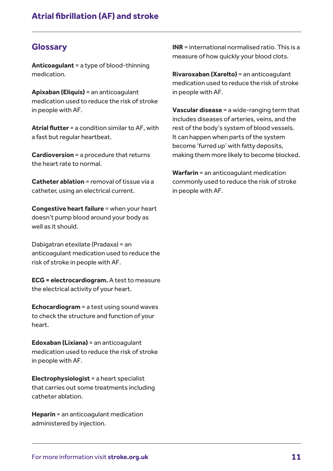# **Glossary**

**Anticoagulant** = a type of blood-thinning medication.

**Apixaban (Eliquis)** = an anticoagulant medication used to reduce the risk of stroke in people with AF.

**Atrial flutter** = a condition similar to AF, with a fast but regular heartbeat.

**Cardioversion** = a procedure that returns the heart rate to normal.

**Catheter ablation** = removal of tissue via a catheter, using an electrical current.

**Congestive heart failure** = when your heart doesn't pump blood around your body as well as it should.

Dabigatran etexilate (Pradaxa) = an anticoagulant medication used to reduce the risk of stroke in people with AF.

**ECG = electrocardiogram.** A test to measure the electrical activity of your heart.

**Echocardiogram** = a test using sound waves to check the structure and function of your heart.

**Edoxaban (Lixiana)** = an anticoagulant medication used to reduce the risk of stroke in people with AF.

**Electrophysiologist** = a heart specialist that carries out some treatments including catheter ablation.

**Heparin** = an anticoagulant medication administered by injection.

**INR** = international normalised ratio. This is a measure of how quickly your blood clots.

**Rivaroxaban (Xarelto)** = an anticoagulant medication used to reduce the risk of stroke in people with AF.

**Vascular disease** = a wide-ranging term that includes [diseases](http://www.online-medical-dictionary.org/definitions-d/diseases.html) of [arteries](http://www.online-medical-dictionary.org/definitions-a/arteries.html), [veins,](http://www.online-medical-dictionary.org/definitions-v/veins.html) and the [rest](http://www.online-medical-dictionary.org/definitions-r/rest.html) of the body's system of blood vessels. It can happen when parts of the system become 'furred up' with fatty deposits, making them more likely to become blocked.

**Warfarin** = an anticoagulant medication commonly used to reduce the risk of stroke in people with AF.